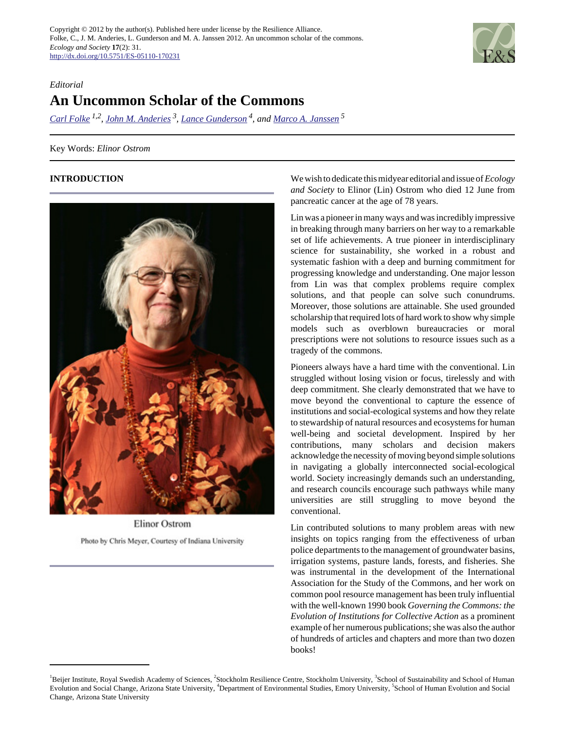Copyright © 2012 by the author(s). Published here under license by the Resilience Alliance. Folke, C., J. M. Anderies, L. Gunderson and M. A. Janssen 2012. An uncommon scholar of the commons. *Ecology and Society* **17**(2): 31. <http://dx.doi.org/10.5751/ES-05110-170231>



# *Editorial*

# **An Uncommon Scholar of the Commons**

*[Carl Folke](mailto:carl.folke@beijer.kva.se) 1,2 , [John M. Anderies](mailto:m.anderies@asu.edu)<sup>3</sup> , [Lance Gunderson](mailto:lgunder@emory.edu) 4, and [Marco A. Janssen](mailto:Marco.Janssen@asu.edu)<sup>5</sup>*

# Key Words: *Elinor Ostrom*



**Elinor Ostrom** Photo by Chris Meyer, Courtesy of Indiana University

**INTRODUCTION** We wish to dedicate this midyear editorial and issue of *Ecology and Society* to Elinor (Lin) Ostrom who died 12 June from pancreatic cancer at the age of 78 years.

> Lin was a pioneer in many ways and was incredibly impressive in breaking through many barriers on her way to a remarkable set of life achievements. A true pioneer in interdisciplinary science for sustainability, she worked in a robust and systematic fashion with a deep and burning commitment for progressing knowledge and understanding. One major lesson from Lin was that complex problems require complex solutions, and that people can solve such conundrums. Moreover, those solutions are attainable. She used grounded scholarship that required lots of hard work to show why simple models such as overblown bureaucracies or moral prescriptions were not solutions to resource issues such as a tragedy of the commons.

> Pioneers always have a hard time with the conventional. Lin struggled without losing vision or focus, tirelessly and with deep commitment. She clearly demonstrated that we have to move beyond the conventional to capture the essence of institutions and social-ecological systems and how they relate to stewardship of natural resources and ecosystems for human well-being and societal development. Inspired by her contributions, many scholars and decision makers acknowledge the necessity of moving beyond simple solutions in navigating a globally interconnected social-ecological world. Society increasingly demands such an understanding, and research councils encourage such pathways while many universities are still struggling to move beyond the conventional.

> Lin contributed solutions to many problem areas with new insights on topics ranging from the effectiveness of urban police departments to the management of groundwater basins, irrigation systems, pasture lands, forests, and fisheries. She was instrumental in the development of the International Association for the Study of the Commons, and her work on common pool resource management has been truly influential with the well-known 1990 book *Governing the Commons: the Evolution of Institutions for Collective Action* as a prominent example of her numerous publications; she was also the author of hundreds of articles and chapters and more than two dozen books!

<sup>&</sup>lt;sup>1</sup>Beijer Institute, Royal Swedish Academy of Sciences, <sup>2</sup>Stockholm Resilience Centre, Stockholm University, <sup>3</sup>School of Sustainability and School of Human Evolution and Social Change, Arizona State University, <sup>4</sup>Department of Environmental Studies, Emory University, <sup>5</sup>School of Human Evolution and Social Change, Arizona State University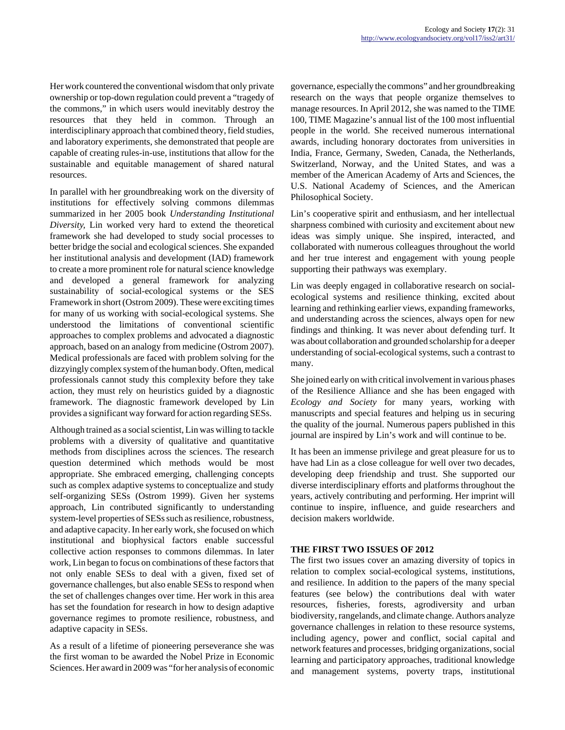Her work countered the conventional wisdom that only private ownership or top-down regulation could prevent a "tragedy of the commons," in which users would inevitably destroy the resources that they held in common. Through an interdisciplinary approach that combined theory, field studies, and laboratory experiments, she demonstrated that people are capable of creating rules-in-use, institutions that allow for the sustainable and equitable management of shared natural resources.

In parallel with her groundbreaking work on the diversity of institutions for effectively solving commons dilemmas summarized in her 2005 book *Understanding Institutional Diversity,* Lin worked very hard to extend the theoretical framework she had developed to study social processes to better bridge the social and ecological sciences. She expanded her institutional analysis and development (IAD) framework to create a more prominent role for natural science knowledge and developed a general framework for analyzing sustainability of social-ecological systems or the SES Framework in short (Ostrom 2009). These were exciting times for many of us working with social-ecological systems. She understood the limitations of conventional scientific approaches to complex problems and advocated a diagnostic approach, based on an analogy from medicine (Ostrom 2007). Medical professionals are faced with problem solving for the dizzyingly complex system of the human body. Often, medical professionals cannot study this complexity before they take action, they must rely on heuristics guided by a diagnostic framework. The diagnostic framework developed by Lin provides a significant way forward for action regarding SESs.

Although trained as a social scientist, Lin was willing to tackle problems with a diversity of qualitative and quantitative methods from disciplines across the sciences. The research question determined which methods would be most appropriate. She embraced emerging, challenging concepts such as complex adaptive systems to conceptualize and study self-organizing SESs (Ostrom 1999). Given her systems approach, Lin contributed significantly to understanding system-level properties of SESs such as resilience, robustness, and adaptive capacity. In her early work, she focused on which institutional and biophysical factors enable successful collective action responses to commons dilemmas. In later work, Lin began to focus on combinations of these factors that not only enable SESs to deal with a given, fixed set of governance challenges, but also enable SESs to respond when the set of challenges changes over time. Her work in this area has set the foundation for research in how to design adaptive governance regimes to promote resilience, robustness, and adaptive capacity in SESs.

As a result of a lifetime of pioneering perseverance she was the first woman to be awarded the Nobel Prize in Economic Sciences. Her award in 2009 was "for her analysis of economic governance, especially the commons" and her groundbreaking research on the ways that people organize themselves to manage resources. In April 2012, she was named to the TIME 100, TIME Magazine's annual list of the 100 most influential people in the world. She received numerous international awards, including honorary doctorates from universities in India, France, Germany, Sweden, Canada, the Netherlands, Switzerland, Norway, and the United States, and was a member of the American Academy of Arts and Sciences, the U.S. National Academy of Sciences, and the American Philosophical Society.

Lin's cooperative spirit and enthusiasm, and her intellectual sharpness combined with curiosity and excitement about new ideas was simply unique. She inspired, interacted, and collaborated with numerous colleagues throughout the world and her true interest and engagement with young people supporting their pathways was exemplary.

Lin was deeply engaged in collaborative research on socialecological systems and resilience thinking, excited about learning and rethinking earlier views, expanding frameworks, and understanding across the sciences, always open for new findings and thinking. It was never about defending turf. It was about collaboration and grounded scholarship for a deeper understanding of social-ecological systems, such a contrast to many.

She joined early on with critical involvement in various phases of the Resilience Alliance and she has been engaged with *Ecology and Society* for many years, working with manuscripts and special features and helping us in securing the quality of the journal. Numerous papers published in this journal are inspired by Lin's work and will continue to be.

It has been an immense privilege and great pleasure for us to have had Lin as a close colleague for well over two decades, developing deep friendship and trust. She supported our diverse interdisciplinary efforts and platforms throughout the years, actively contributing and performing. Her imprint will continue to inspire, influence, and guide researchers and decision makers worldwide.

# **THE FIRST TWO ISSUES OF 2012**

The first two issues cover an amazing diversity of topics in relation to complex social-ecological systems, institutions, and resilience. In addition to the papers of the many special features (see below) the contributions deal with water resources, fisheries, forests, agrodiversity and urban biodiversity, rangelands, and climate change. Authors analyze governance challenges in relation to these resource systems, including agency, power and conflict, social capital and network features and processes, bridging organizations, social learning and participatory approaches, traditional knowledge and management systems, poverty traps, institutional